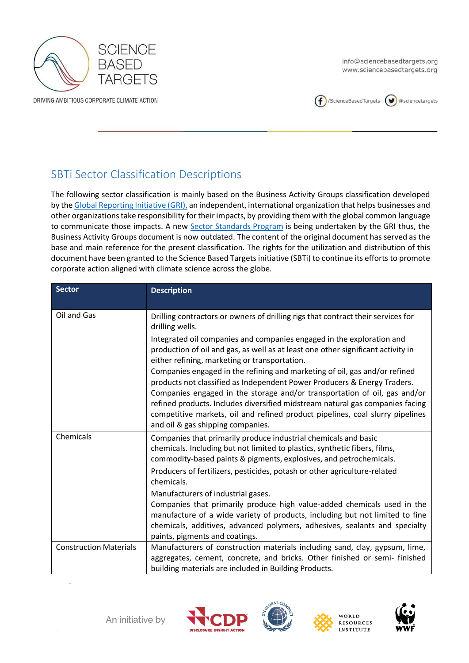

info@sciencebasedtargets.org www.sciencebasedtargets.org



## SBTi Sector Classification Descriptions

The following sector classification is mainly based on the Business Activity Groups classification developed by th[e Global Reporting Initiative \(GRI\),](https://www.globalreporting.org/) an independent, international organization that helps businesses and other organizations take responsibility for their impacts, by providing them with the global common language to communicate those impacts. A new [Sector Standards Program](https://www.globalreporting.org/standards/media/2235/gri_sector_program_description.pdf) is being undertaken by the GRI thus, the Business Activity Groups document is now outdated. The content of the original document has served as the base and main reference for the present classification. The rights for the utilization and distribution of this document have been granted to the Science Based Targets initiative (SBTi) to continue its efforts to promote corporate action aligned with climate science across the globe.

| <b>Sector</b>                 | <b>Description</b>                                                                                                                                                                                                                                                                                                                                                                                                                         |
|-------------------------------|--------------------------------------------------------------------------------------------------------------------------------------------------------------------------------------------------------------------------------------------------------------------------------------------------------------------------------------------------------------------------------------------------------------------------------------------|
| Oil and Gas                   | Drilling contractors or owners of drilling rigs that contract their services for<br>drilling wells.                                                                                                                                                                                                                                                                                                                                        |
|                               | Integrated oil companies and companies engaged in the exploration and<br>production of oil and gas, as well as at least one other significant activity in<br>either refining, marketing or transportation.                                                                                                                                                                                                                                 |
|                               | Companies engaged in the refining and marketing of oil, gas and/or refined<br>products not classified as Independent Power Producers & Energy Traders.<br>Companies engaged in the storage and/or transportation of oil, gas and/or<br>refined products. Includes diversified midstream natural gas companies facing<br>competitive markets, oil and refined product pipelines, coal slurry pipelines<br>and oil & gas shipping companies. |
| Chemicals                     | Companies that primarily produce industrial chemicals and basic<br>chemicals. Including but not limited to plastics, synthetic fibers, films,<br>commodity-based paints & pigments, explosives, and petrochemicals.<br>Producers of fertilizers, pesticides, potash or other agriculture-related<br>chemicals.                                                                                                                             |
|                               | Manufacturers of industrial gases.<br>Companies that primarily produce high value-added chemicals used in the<br>manufacture of a wide variety of products, including but not limited to fine<br>chemicals, additives, advanced polymers, adhesives, sealants and specialty<br>paints, pigments and coatings.                                                                                                                              |
| <b>Construction Materials</b> | Manufacturers of construction materials including sand, clay, gypsum, lime,<br>aggregates, cement, concrete, and bricks. Other finished or semi- finished<br>building materials are included in Building Products.                                                                                                                                                                                                                         |







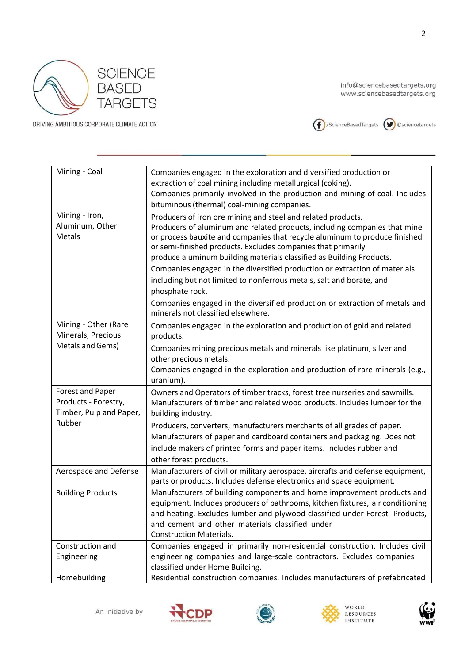



| Mining - Coal            | Companies engaged in the exploration and diversified production or                                                                                      |
|--------------------------|---------------------------------------------------------------------------------------------------------------------------------------------------------|
|                          | extraction of coal mining including metallurgical (coking).<br>Companies primarily involved in the production and mining of coal. Includes              |
|                          | bituminous (thermal) coal-mining companies.                                                                                                             |
| Mining - Iron,           |                                                                                                                                                         |
| Aluminum, Other          | Producers of iron ore mining and steel and related products.                                                                                            |
| <b>Metals</b>            | Producers of aluminum and related products, including companies that mine<br>or process bauxite and companies that recycle aluminum to produce finished |
|                          | or semi-finished products. Excludes companies that primarily                                                                                            |
|                          | produce aluminum building materials classified as Building Products.                                                                                    |
|                          | Companies engaged in the diversified production or extraction of materials                                                                              |
|                          | including but not limited to nonferrous metals, salt and borate, and                                                                                    |
|                          | phosphate rock.                                                                                                                                         |
|                          | Companies engaged in the diversified production or extraction of metals and                                                                             |
|                          | minerals not classified elsewhere.                                                                                                                      |
| Mining - Other (Rare     | Companies engaged in the exploration and production of gold and related                                                                                 |
| Minerals, Precious       | products.                                                                                                                                               |
| Metals and Gems)         | Companies mining precious metals and minerals like platinum, silver and                                                                                 |
|                          | other precious metals.                                                                                                                                  |
|                          | Companies engaged in the exploration and production of rare minerals (e.g.,                                                                             |
|                          | uranium).                                                                                                                                               |
| Forest and Paper         | Owners and Operators of timber tracks, forest tree nurseries and sawmills.                                                                              |
| Products - Forestry,     | Manufacturers of timber and related wood products. Includes lumber for the                                                                              |
| Timber, Pulp and Paper,  | building industry.                                                                                                                                      |
| Rubber                   | Producers, converters, manufacturers merchants of all grades of paper.                                                                                  |
|                          | Manufacturers of paper and cardboard containers and packaging. Does not                                                                                 |
|                          | include makers of printed forms and paper items. Includes rubber and                                                                                    |
|                          | other forest products.                                                                                                                                  |
| Aerospace and Defense    | Manufacturers of civil or military aerospace, aircrafts and defense equipment,                                                                          |
|                          | parts or products. Includes defense electronics and space equipment.                                                                                    |
| <b>Building Products</b> | Manufacturers of building components and home improvement products and                                                                                  |
|                          | equipment. Includes producers of bathrooms, kitchen fixtures, air conditioning                                                                          |
|                          | and heating. Excludes lumber and plywood classified under Forest Products,                                                                              |
|                          | and cement and other materials classified under                                                                                                         |
|                          | <b>Construction Materials.</b>                                                                                                                          |
| Construction and         | Companies engaged in primarily non-residential construction. Includes civil<br>engineering companies and large-scale contractors. Excludes companies    |
| Engineering              | classified under Home Building.                                                                                                                         |
| Homebuilding             | Residential construction companies. Includes manufacturers of prefabricated                                                                             |
|                          |                                                                                                                                                         |







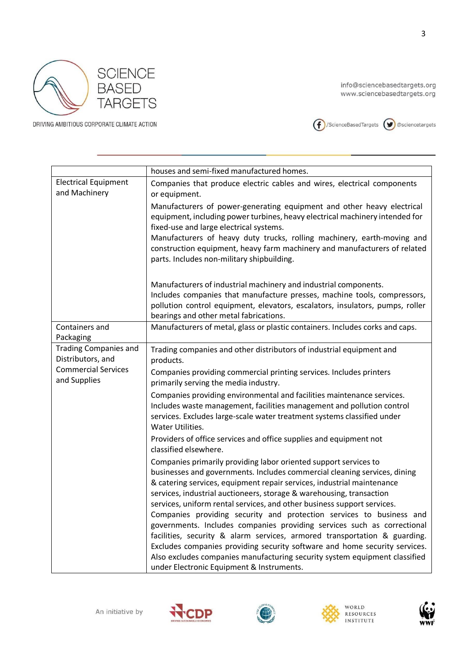



|                                                   | houses and semi-fixed manufactured homes.                                                                                                                                                                                                                                                                                                                                                                                                                                                                                                                                                                                                                                                                                                                                                                           |
|---------------------------------------------------|---------------------------------------------------------------------------------------------------------------------------------------------------------------------------------------------------------------------------------------------------------------------------------------------------------------------------------------------------------------------------------------------------------------------------------------------------------------------------------------------------------------------------------------------------------------------------------------------------------------------------------------------------------------------------------------------------------------------------------------------------------------------------------------------------------------------|
| <b>Electrical Equipment</b><br>and Machinery      | Companies that produce electric cables and wires, electrical components<br>or equipment.                                                                                                                                                                                                                                                                                                                                                                                                                                                                                                                                                                                                                                                                                                                            |
|                                                   | Manufacturers of power-generating equipment and other heavy electrical<br>equipment, including power turbines, heavy electrical machinery intended for<br>fixed-use and large electrical systems.<br>Manufacturers of heavy duty trucks, rolling machinery, earth-moving and<br>construction equipment, heavy farm machinery and manufacturers of related<br>parts. Includes non-military shipbuilding.                                                                                                                                                                                                                                                                                                                                                                                                             |
|                                                   | Manufacturers of industrial machinery and industrial components.<br>Includes companies that manufacture presses, machine tools, compressors,<br>pollution control equipment, elevators, escalators, insulators, pumps, roller<br>bearings and other metal fabrications.                                                                                                                                                                                                                                                                                                                                                                                                                                                                                                                                             |
| Containers and<br>Packaging                       | Manufacturers of metal, glass or plastic containers. Includes corks and caps.                                                                                                                                                                                                                                                                                                                                                                                                                                                                                                                                                                                                                                                                                                                                       |
| <b>Trading Companies and</b><br>Distributors, and | Trading companies and other distributors of industrial equipment and<br>products.                                                                                                                                                                                                                                                                                                                                                                                                                                                                                                                                                                                                                                                                                                                                   |
| <b>Commercial Services</b><br>and Supplies        | Companies providing commercial printing services. Includes printers<br>primarily serving the media industry.                                                                                                                                                                                                                                                                                                                                                                                                                                                                                                                                                                                                                                                                                                        |
|                                                   | Companies providing environmental and facilities maintenance services.<br>Includes waste management, facilities management and pollution control<br>services. Excludes large-scale water treatment systems classified under<br>Water Utilities.                                                                                                                                                                                                                                                                                                                                                                                                                                                                                                                                                                     |
|                                                   | Providers of office services and office supplies and equipment not<br>classified elsewhere.                                                                                                                                                                                                                                                                                                                                                                                                                                                                                                                                                                                                                                                                                                                         |
|                                                   | Companies primarily providing labor oriented support services to<br>businesses and governments. Includes commercial cleaning services, dining<br>& catering services, equipment repair services, industrial maintenance<br>services, industrial auctioneers, storage & warehousing, transaction<br>services, uniform rental services, and other business support services.<br>Companies providing security and protection services to business and<br>governments. Includes companies providing services such as correctional<br>facilities, security & alarm services, armored transportation & guarding.<br>Excludes companies providing security software and home security services.<br>Also excludes companies manufacturing security system equipment classified<br>under Electronic Equipment & Instruments. |







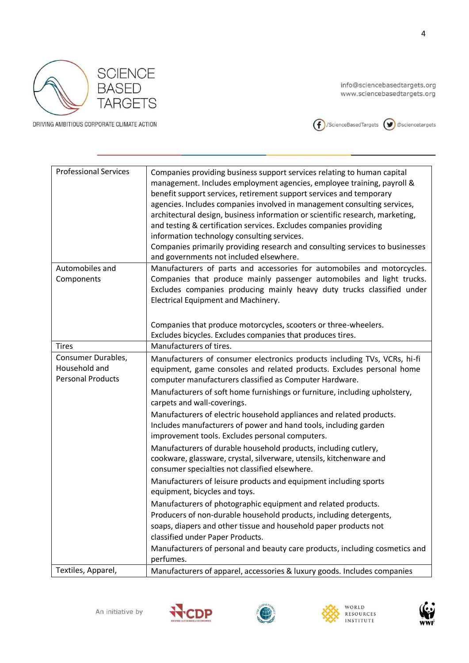



| <b>Professional Services</b>                                    | Companies providing business support services relating to human capital<br>management. Includes employment agencies, employee training, payroll &<br>benefit support services, retirement support services and temporary<br>agencies. Includes companies involved in management consulting services,<br>architectural design, business information or scientific research, marketing,<br>and testing & certification services. Excludes companies providing<br>information technology consulting services.<br>Companies primarily providing research and consulting services to businesses<br>and governments not included elsewhere. |
|-----------------------------------------------------------------|---------------------------------------------------------------------------------------------------------------------------------------------------------------------------------------------------------------------------------------------------------------------------------------------------------------------------------------------------------------------------------------------------------------------------------------------------------------------------------------------------------------------------------------------------------------------------------------------------------------------------------------|
| Automobiles and                                                 | Manufacturers of parts and accessories for automobiles and motorcycles.                                                                                                                                                                                                                                                                                                                                                                                                                                                                                                                                                               |
| Components                                                      | Companies that produce mainly passenger automobiles and light trucks.<br>Excludes companies producing mainly heavy duty trucks classified under<br>Electrical Equipment and Machinery.                                                                                                                                                                                                                                                                                                                                                                                                                                                |
|                                                                 | Companies that produce motorcycles, scooters or three-wheelers.                                                                                                                                                                                                                                                                                                                                                                                                                                                                                                                                                                       |
|                                                                 | Excludes bicycles. Excludes companies that produces tires.                                                                                                                                                                                                                                                                                                                                                                                                                                                                                                                                                                            |
| <b>Tires</b>                                                    | Manufacturers of tires.                                                                                                                                                                                                                                                                                                                                                                                                                                                                                                                                                                                                               |
| Consumer Durables,<br>Household and<br><b>Personal Products</b> | Manufacturers of consumer electronics products including TVs, VCRs, hi-fi<br>equipment, game consoles and related products. Excludes personal home<br>computer manufacturers classified as Computer Hardware.<br>Manufacturers of soft home furnishings or furniture, including upholstery,                                                                                                                                                                                                                                                                                                                                           |
|                                                                 | carpets and wall-coverings.<br>Manufacturers of electric household appliances and related products.<br>Includes manufacturers of power and hand tools, including garden<br>improvement tools. Excludes personal computers.<br>Manufacturers of durable household products, including cutlery,                                                                                                                                                                                                                                                                                                                                         |
|                                                                 | cookware, glassware, crystal, silverware, utensils, kitchenware and<br>consumer specialties not classified elsewhere.                                                                                                                                                                                                                                                                                                                                                                                                                                                                                                                 |
|                                                                 | Manufacturers of leisure products and equipment including sports<br>equipment, bicycles and toys.                                                                                                                                                                                                                                                                                                                                                                                                                                                                                                                                     |
|                                                                 | Manufacturers of photographic equipment and related products.                                                                                                                                                                                                                                                                                                                                                                                                                                                                                                                                                                         |
|                                                                 | Producers of non-durable household products, including detergents,                                                                                                                                                                                                                                                                                                                                                                                                                                                                                                                                                                    |
|                                                                 | soaps, diapers and other tissue and household paper products not                                                                                                                                                                                                                                                                                                                                                                                                                                                                                                                                                                      |
|                                                                 | classified under Paper Products.                                                                                                                                                                                                                                                                                                                                                                                                                                                                                                                                                                                                      |
|                                                                 | Manufacturers of personal and beauty care products, including cosmetics and<br>perfumes.                                                                                                                                                                                                                                                                                                                                                                                                                                                                                                                                              |
| Textiles, Apparel,                                              | Manufacturers of apparel, accessories & luxury goods. Includes companies                                                                                                                                                                                                                                                                                                                                                                                                                                                                                                                                                              |
|                                                                 |                                                                                                                                                                                                                                                                                                                                                                                                                                                                                                                                                                                                                                       |







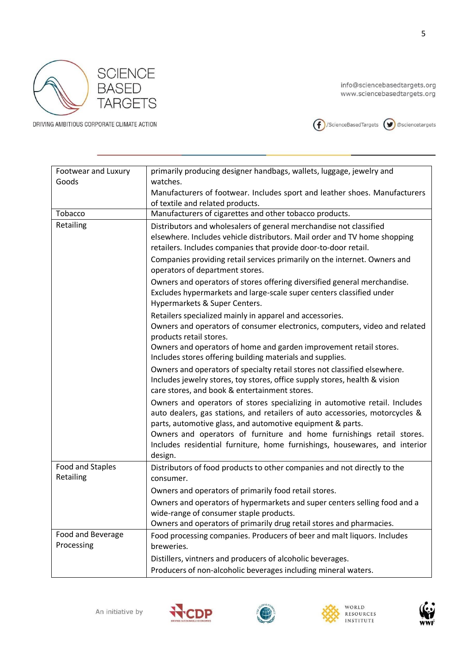



| Footwear and Luxury<br>Goods    | primarily producing designer handbags, wallets, luggage, jewelry and<br>watches.                                                                                                                                         |
|---------------------------------|--------------------------------------------------------------------------------------------------------------------------------------------------------------------------------------------------------------------------|
|                                 | Manufacturers of footwear. Includes sport and leather shoes. Manufacturers                                                                                                                                               |
|                                 | of textile and related products.                                                                                                                                                                                         |
| Tobacco                         | Manufacturers of cigarettes and other tobacco products.                                                                                                                                                                  |
| Retailing                       | Distributors and wholesalers of general merchandise not classified<br>elsewhere. Includes vehicle distributors. Mail order and TV home shopping<br>retailers. Includes companies that provide door-to-door retail.       |
|                                 | Companies providing retail services primarily on the internet. Owners and<br>operators of department stores.                                                                                                             |
|                                 | Owners and operators of stores offering diversified general merchandise.<br>Excludes hypermarkets and large-scale super centers classified under<br>Hypermarkets & Super Centers.                                        |
|                                 | Retailers specialized mainly in apparel and accessories.<br>Owners and operators of consumer electronics, computers, video and related<br>products retail stores.                                                        |
|                                 | Owners and operators of home and garden improvement retail stores.<br>Includes stores offering building materials and supplies.                                                                                          |
|                                 | Owners and operators of specialty retail stores not classified elsewhere.<br>Includes jewelry stores, toy stores, office supply stores, health & vision<br>care stores, and book & entertainment stores.                 |
|                                 | Owners and operators of stores specializing in automotive retail. Includes<br>auto dealers, gas stations, and retailers of auto accessories, motorcycles &<br>parts, automotive glass, and automotive equipment & parts. |
|                                 | Owners and operators of furniture and home furnishings retail stores.<br>Includes residential furniture, home furnishings, housewares, and interior<br>design.                                                           |
| Food and Staples<br>Retailing   | Distributors of food products to other companies and not directly to the<br>consumer.                                                                                                                                    |
|                                 | Owners and operators of primarily food retail stores.                                                                                                                                                                    |
|                                 | Owners and operators of hypermarkets and super centers selling food and a                                                                                                                                                |
|                                 | wide-range of consumer staple products.                                                                                                                                                                                  |
|                                 | Owners and operators of primarily drug retail stores and pharmacies.                                                                                                                                                     |
| Food and Beverage<br>Processing | Food processing companies. Producers of beer and malt liquors. Includes<br>breweries.                                                                                                                                    |
|                                 | Distillers, vintners and producers of alcoholic beverages.                                                                                                                                                               |
|                                 | Producers of non-alcoholic beverages including mineral waters.                                                                                                                                                           |
|                                 |                                                                                                                                                                                                                          |







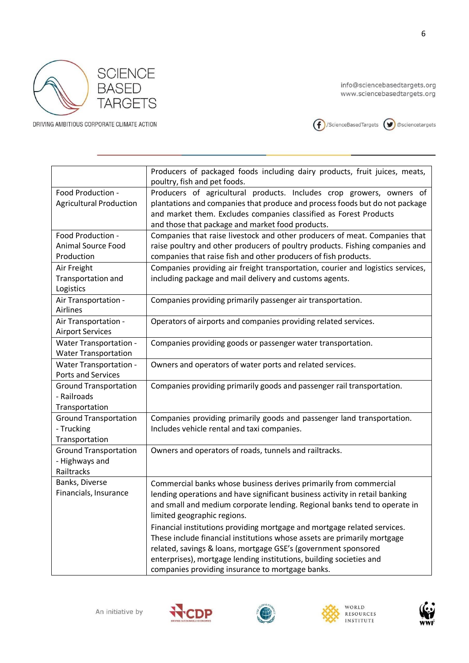



|                                                               | Producers of packaged foods including dairy products, fruit juices, meats,<br>poultry, fish and pet foods.                                                                                                                                                                                                                                                                                                                                                                                                                                                                                                        |
|---------------------------------------------------------------|-------------------------------------------------------------------------------------------------------------------------------------------------------------------------------------------------------------------------------------------------------------------------------------------------------------------------------------------------------------------------------------------------------------------------------------------------------------------------------------------------------------------------------------------------------------------------------------------------------------------|
| Food Production -<br><b>Agricultural Production</b>           | Producers of agricultural products. Includes crop growers, owners of<br>plantations and companies that produce and process foods but do not package<br>and market them. Excludes companies classified as Forest Products<br>and those that package and market food products.                                                                                                                                                                                                                                                                                                                                      |
| Food Production -<br><b>Animal Source Food</b><br>Production  | Companies that raise livestock and other producers of meat. Companies that<br>raise poultry and other producers of poultry products. Fishing companies and<br>companies that raise fish and other producers of fish products.                                                                                                                                                                                                                                                                                                                                                                                     |
| Air Freight<br>Transportation and<br>Logistics                | Companies providing air freight transportation, courier and logistics services,<br>including package and mail delivery and customs agents.                                                                                                                                                                                                                                                                                                                                                                                                                                                                        |
| Air Transportation -<br>Airlines                              | Companies providing primarily passenger air transportation.                                                                                                                                                                                                                                                                                                                                                                                                                                                                                                                                                       |
| Air Transportation -<br><b>Airport Services</b>               | Operators of airports and companies providing related services.                                                                                                                                                                                                                                                                                                                                                                                                                                                                                                                                                   |
| <b>Water Transportation -</b><br><b>Water Transportation</b>  | Companies providing goods or passenger water transportation.                                                                                                                                                                                                                                                                                                                                                                                                                                                                                                                                                      |
| <b>Water Transportation -</b><br><b>Ports and Services</b>    | Owners and operators of water ports and related services.                                                                                                                                                                                                                                                                                                                                                                                                                                                                                                                                                         |
| <b>Ground Transportation</b><br>- Railroads<br>Transportation | Companies providing primarily goods and passenger rail transportation.                                                                                                                                                                                                                                                                                                                                                                                                                                                                                                                                            |
| <b>Ground Transportation</b><br>- Trucking<br>Transportation  | Companies providing primarily goods and passenger land transportation.<br>Includes vehicle rental and taxi companies.                                                                                                                                                                                                                                                                                                                                                                                                                                                                                             |
| <b>Ground Transportation</b><br>- Highways and<br>Railtracks  | Owners and operators of roads, tunnels and railtracks.                                                                                                                                                                                                                                                                                                                                                                                                                                                                                                                                                            |
| Banks, Diverse<br>Financials, Insurance                       | Commercial banks whose business derives primarily from commercial<br>lending operations and have significant business activity in retail banking<br>and small and medium corporate lending. Regional banks tend to operate in<br>limited geographic regions.<br>Financial institutions providing mortgage and mortgage related services.<br>These include financial institutions whose assets are primarily mortgage<br>related, savings & loans, mortgage GSE's (government sponsored<br>enterprises), mortgage lending institutions, building societies and<br>companies providing insurance to mortgage banks. |





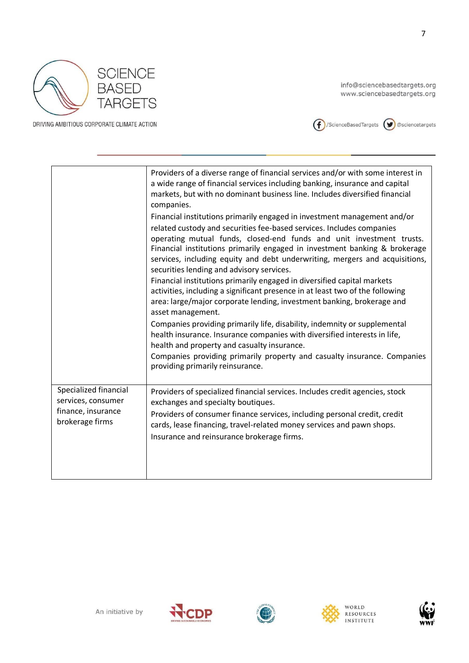



|                                             | Providers of a diverse range of financial services and/or with some interest in<br>a wide range of financial services including banking, insurance and capital<br>markets, but with no dominant business line. Includes diversified financial<br>companies.                                                                                                                                                                         |
|---------------------------------------------|-------------------------------------------------------------------------------------------------------------------------------------------------------------------------------------------------------------------------------------------------------------------------------------------------------------------------------------------------------------------------------------------------------------------------------------|
|                                             | Financial institutions primarily engaged in investment management and/or<br>related custody and securities fee-based services. Includes companies<br>operating mutual funds, closed-end funds and unit investment trusts.<br>Financial institutions primarily engaged in investment banking & brokerage<br>services, including equity and debt underwriting, mergers and acquisitions,<br>securities lending and advisory services. |
|                                             | Financial institutions primarily engaged in diversified capital markets<br>activities, including a significant presence in at least two of the following<br>area: large/major corporate lending, investment banking, brokerage and<br>asset management.                                                                                                                                                                             |
|                                             | Companies providing primarily life, disability, indemnity or supplemental<br>health insurance. Insurance companies with diversified interests in life,<br>health and property and casualty insurance.<br>Companies providing primarily property and casualty insurance. Companies                                                                                                                                                   |
|                                             | providing primarily reinsurance.                                                                                                                                                                                                                                                                                                                                                                                                    |
| Specialized financial<br>services, consumer | Providers of specialized financial services. Includes credit agencies, stock<br>exchanges and specialty boutiques.                                                                                                                                                                                                                                                                                                                  |
| finance, insurance<br>brokerage firms       | Providers of consumer finance services, including personal credit, credit<br>cards, lease financing, travel-related money services and pawn shops.                                                                                                                                                                                                                                                                                  |
|                                             | Insurance and reinsurance brokerage firms.                                                                                                                                                                                                                                                                                                                                                                                          |
|                                             |                                                                                                                                                                                                                                                                                                                                                                                                                                     |







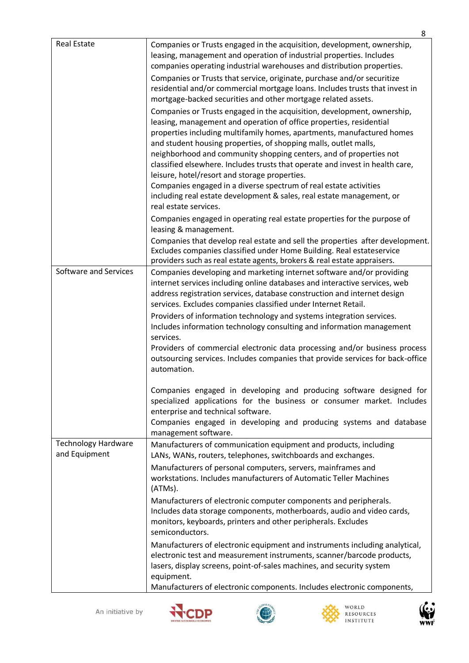|                                             | 8                                                                                                                                                                                                                                                                                                                                                                                                                                                                                                                                                                         |
|---------------------------------------------|---------------------------------------------------------------------------------------------------------------------------------------------------------------------------------------------------------------------------------------------------------------------------------------------------------------------------------------------------------------------------------------------------------------------------------------------------------------------------------------------------------------------------------------------------------------------------|
| <b>Real Estate</b>                          | Companies or Trusts engaged in the acquisition, development, ownership,<br>leasing, management and operation of industrial properties. Includes<br>companies operating industrial warehouses and distribution properties.                                                                                                                                                                                                                                                                                                                                                 |
|                                             | Companies or Trusts that service, originate, purchase and/or securitize<br>residential and/or commercial mortgage loans. Includes trusts that invest in<br>mortgage-backed securities and other mortgage related assets.                                                                                                                                                                                                                                                                                                                                                  |
|                                             | Companies or Trusts engaged in the acquisition, development, ownership,<br>leasing, management and operation of office properties, residential<br>properties including multifamily homes, apartments, manufactured homes<br>and student housing properties, of shopping malls, outlet malls,<br>neighborhood and community shopping centers, and of properties not<br>classified elsewhere. Includes trusts that operate and invest in health care,<br>leisure, hotel/resort and storage properties.<br>Companies engaged in a diverse spectrum of real estate activities |
|                                             | including real estate development & sales, real estate management, or<br>real estate services.<br>Companies engaged in operating real estate properties for the purpose of                                                                                                                                                                                                                                                                                                                                                                                                |
|                                             | leasing & management.<br>Companies that develop real estate and sell the properties after development.<br>Excludes companies classified under Home Building. Real estateservice<br>providers such as real estate agents, brokers & real estate appraisers.                                                                                                                                                                                                                                                                                                                |
| Software and Services                       | Companies developing and marketing internet software and/or providing<br>internet services including online databases and interactive services, web<br>address registration services, database construction and internet design<br>services. Excludes companies classified under Internet Retail.                                                                                                                                                                                                                                                                         |
|                                             | Providers of information technology and systems integration services.<br>Includes information technology consulting and information management<br>services.<br>Providers of commercial electronic data processing and/or business process                                                                                                                                                                                                                                                                                                                                 |
|                                             | outsourcing services. Includes companies that provide services for back-office<br>automation.                                                                                                                                                                                                                                                                                                                                                                                                                                                                             |
|                                             | Companies engaged in developing and producing software designed for<br>specialized applications for the business or consumer market. Includes<br>enterprise and technical software.<br>Companies engaged in developing and producing systems and database                                                                                                                                                                                                                                                                                                                 |
|                                             | management software.                                                                                                                                                                                                                                                                                                                                                                                                                                                                                                                                                      |
| <b>Technology Hardware</b><br>and Equipment | Manufacturers of communication equipment and products, including<br>LANs, WANs, routers, telephones, switchboards and exchanges.                                                                                                                                                                                                                                                                                                                                                                                                                                          |
|                                             | Manufacturers of personal computers, servers, mainframes and<br>workstations. Includes manufacturers of Automatic Teller Machines<br>(ATMs).                                                                                                                                                                                                                                                                                                                                                                                                                              |
|                                             | Manufacturers of electronic computer components and peripherals.<br>Includes data storage components, motherboards, audio and video cards,<br>monitors, keyboards, printers and other peripherals. Excludes<br>semiconductors.                                                                                                                                                                                                                                                                                                                                            |
|                                             | Manufacturers of electronic equipment and instruments including analytical,<br>electronic test and measurement instruments, scanner/barcode products,<br>lasers, display screens, point-of-sales machines, and security system<br>equipment.                                                                                                                                                                                                                                                                                                                              |
|                                             | Manufacturers of electronic components. Includes electronic components,                                                                                                                                                                                                                                                                                                                                                                                                                                                                                                   |





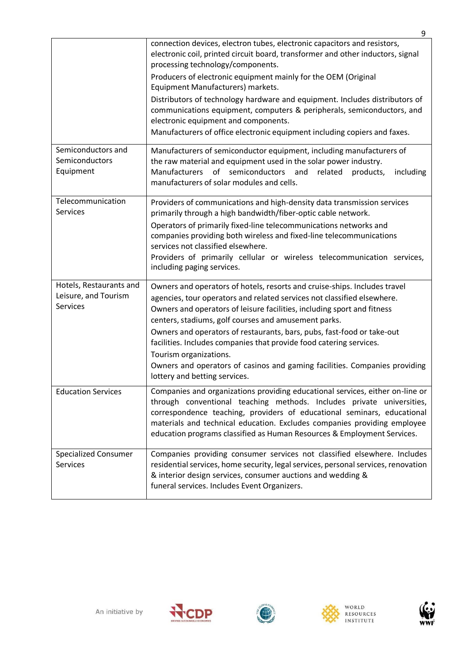|                                                             | 9                                                                                                                                                                                                                                                                                                                                                                                                                                                                                                                                                                                     |
|-------------------------------------------------------------|---------------------------------------------------------------------------------------------------------------------------------------------------------------------------------------------------------------------------------------------------------------------------------------------------------------------------------------------------------------------------------------------------------------------------------------------------------------------------------------------------------------------------------------------------------------------------------------|
|                                                             | connection devices, electron tubes, electronic capacitors and resistors,<br>electronic coil, printed circuit board, transformer and other inductors, signal<br>processing technology/components.<br>Producers of electronic equipment mainly for the OEM (Original<br>Equipment Manufacturers) markets.<br>Distributors of technology hardware and equipment. Includes distributors of<br>communications equipment, computers & peripherals, semiconductors, and<br>electronic equipment and components.<br>Manufacturers of office electronic equipment including copiers and faxes. |
| Semiconductors and<br>Semiconductors<br>Equipment           | Manufacturers of semiconductor equipment, including manufacturers of<br>the raw material and equipment used in the solar power industry.<br><b>Manufacturers</b><br>of<br>semiconductors<br>and<br>related<br>products,<br>including<br>manufacturers of solar modules and cells.                                                                                                                                                                                                                                                                                                     |
| Telecommunication<br>Services                               | Providers of communications and high-density data transmission services<br>primarily through a high bandwidth/fiber-optic cable network.<br>Operators of primarily fixed-line telecommunications networks and<br>companies providing both wireless and fixed-line telecommunications<br>services not classified elsewhere.<br>Providers of primarily cellular or wireless telecommunication services,<br>including paging services.                                                                                                                                                   |
| Hotels, Restaurants and<br>Leisure, and Tourism<br>Services | Owners and operators of hotels, resorts and cruise-ships. Includes travel<br>agencies, tour operators and related services not classified elsewhere.<br>Owners and operators of leisure facilities, including sport and fitness<br>centers, stadiums, golf courses and amusement parks.<br>Owners and operators of restaurants, bars, pubs, fast-food or take-out<br>facilities. Includes companies that provide food catering services.<br>Tourism organizations.<br>Owners and operators of casinos and gaming facilities. Companies providing<br>lottery and betting services.     |
| <b>Education Services</b>                                   | Companies and organizations providing educational services, either on-line or<br>through conventional teaching methods. Includes private universities,<br>correspondence teaching, providers of educational seminars, educational<br>materials and technical education. Excludes companies providing employee<br>education programs classified as Human Resources & Employment Services.                                                                                                                                                                                              |
| <b>Specialized Consumer</b><br>Services                     | Companies providing consumer services not classified elsewhere. Includes<br>residential services, home security, legal services, personal services, renovation<br>& interior design services, consumer auctions and wedding &<br>funeral services. Includes Event Organizers.                                                                                                                                                                                                                                                                                                         |





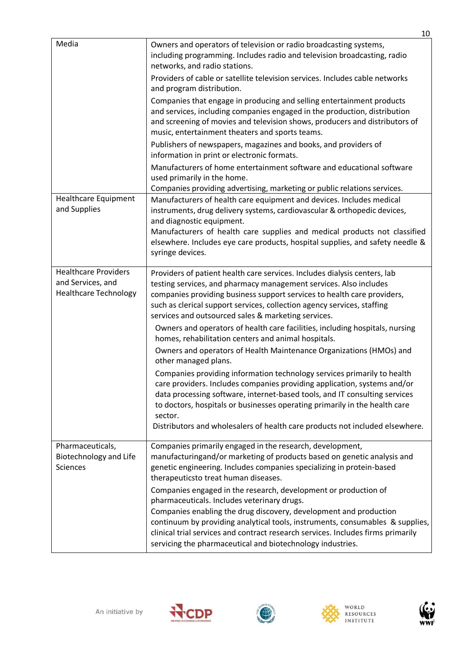| Media                                                                            | Owners and operators of television or radio broadcasting systems,<br>including programming. Includes radio and television broadcasting, radio<br>networks, and radio stations.<br>Providers of cable or satellite television services. Includes cable networks<br>and program distribution.<br>Companies that engage in producing and selling entertainment products                                                                                                                                                                                                                                                                                                                                                                                                                                                                   |
|----------------------------------------------------------------------------------|----------------------------------------------------------------------------------------------------------------------------------------------------------------------------------------------------------------------------------------------------------------------------------------------------------------------------------------------------------------------------------------------------------------------------------------------------------------------------------------------------------------------------------------------------------------------------------------------------------------------------------------------------------------------------------------------------------------------------------------------------------------------------------------------------------------------------------------|
|                                                                                  | and services, including companies engaged in the production, distribution<br>and screening of movies and television shows, producers and distributors of<br>music, entertainment theaters and sports teams.                                                                                                                                                                                                                                                                                                                                                                                                                                                                                                                                                                                                                            |
|                                                                                  | Publishers of newspapers, magazines and books, and providers of<br>information in print or electronic formats.                                                                                                                                                                                                                                                                                                                                                                                                                                                                                                                                                                                                                                                                                                                         |
|                                                                                  | Manufacturers of home entertainment software and educational software<br>used primarily in the home.<br>Companies providing advertising, marketing or public relations services.                                                                                                                                                                                                                                                                                                                                                                                                                                                                                                                                                                                                                                                       |
| <b>Healthcare Equipment</b><br>and Supplies                                      | Manufacturers of health care equipment and devices. Includes medical<br>instruments, drug delivery systems, cardiovascular & orthopedic devices,<br>and diagnostic equipment.<br>Manufacturers of health care supplies and medical products not classified<br>elsewhere. Includes eye care products, hospital supplies, and safety needle &<br>syringe devices.                                                                                                                                                                                                                                                                                                                                                                                                                                                                        |
| <b>Healthcare Providers</b><br>and Services, and<br><b>Healthcare Technology</b> | Providers of patient health care services. Includes dialysis centers, lab<br>testing services, and pharmacy management services. Also includes<br>companies providing business support services to health care providers,<br>such as clerical support services, collection agency services, staffing<br>services and outsourced sales & marketing services.<br>Owners and operators of health care facilities, including hospitals, nursing<br>homes, rehabilitation centers and animal hospitals.<br>Owners and operators of Health Maintenance Organizations (HMOs) and<br>other managed plans.<br>Companies providing information technology services primarily to health<br>care providers. Includes companies providing application, systems and/or<br>data processing software, internet-based tools, and IT consulting services |
|                                                                                  | to doctors, hospitals or businesses operating primarily in the health care<br>sector.<br>Distributors and wholesalers of health care products not included elsewhere.                                                                                                                                                                                                                                                                                                                                                                                                                                                                                                                                                                                                                                                                  |
| Pharmaceuticals,<br>Biotechnology and Life<br><b>Sciences</b>                    | Companies primarily engaged in the research, development,<br>manufacturingand/or marketing of products based on genetic analysis and<br>genetic engineering. Includes companies specializing in protein-based<br>therapeuticsto treat human diseases.                                                                                                                                                                                                                                                                                                                                                                                                                                                                                                                                                                                  |
|                                                                                  | Companies engaged in the research, development or production of<br>pharmaceuticals. Includes veterinary drugs.<br>Companies enabling the drug discovery, development and production<br>continuum by providing analytical tools, instruments, consumables & supplies,<br>clinical trial services and contract research services. Includes firms primarily<br>servicing the pharmaceutical and biotechnology industries.                                                                                                                                                                                                                                                                                                                                                                                                                 |